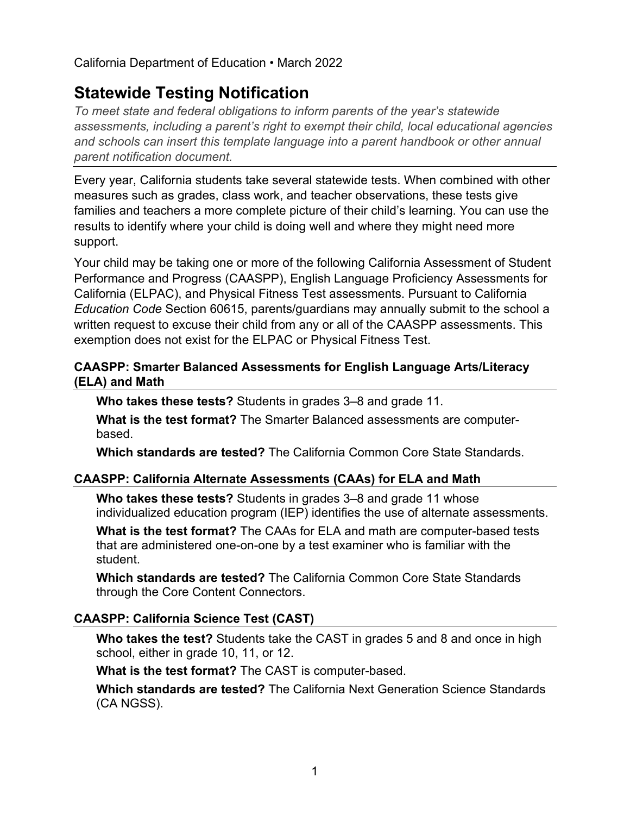California Department of Education • March 2022

# **Statewide Testing Notification**

*To meet state and federal obligations to inform parents of the year's statewide assessments, including a parent's right to exempt their child, local educational agencies and schools can insert this template language into a parent handbook or other annual parent notification document.*

Every year, California students take several statewide tests. When combined with other measures such as grades, class work, and teacher observations, these tests give families and teachers a more complete picture of their child's learning. You can use the results to identify where your child is doing well and where they might need more support.

Your child may be taking one or more of the following California Assessment of Student Performance and Progress (CAASPP), English Language Proficiency Assessments for California (ELPAC), and Physical Fitness Test assessments. Pursuant to California *Education Code* Section 60615, parents/guardians may annually submit to the school a written request to excuse their child from any or all of the CAASPP assessments. This exemption does not exist for the ELPAC or Physical Fitness Test.

# **CAASPP: Smarter Balanced Assessments for English Language Arts/Literacy (ELA) and Math**

**Who takes these tests?** Students in grades 3–8 and grade 11.

**What is the test format?** The Smarter Balanced assessments are computerbased.

**Which standards are tested?** The California Common Core State Standards.

# **CAASPP: California Alternate Assessments (CAAs) for ELA and Math**

**Who takes these tests?** Students in grades 3–8 and grade 11 whose individualized education program (IEP) identifies the use of alternate assessments.

**What is the test format?** The CAAs for ELA and math are computer-based tests that are administered one-on-one by a test examiner who is familiar with the student.

**Which standards are tested?** The California Common Core State Standards through the Core Content Connectors.

# **CAASPP: California Science Test (CAST)**

**Who takes the test?** Students take the CAST in grades 5 and 8 and once in high school, either in grade 10, 11, or 12.

**What is the test format?** The CAST is computer-based.

**Which standards are tested?** The California Next Generation Science Standards (CA NGSS).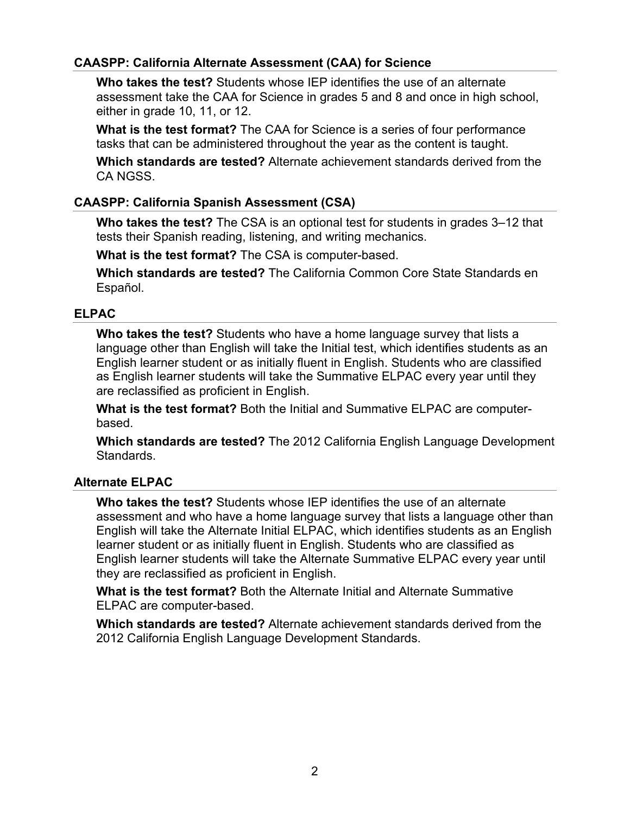## **CAASPP: California Alternate Assessment (CAA) for Science**

**Who takes the test?** Students whose IEP identifies the use of an alternate assessment take the CAA for Science in grades 5 and 8 and once in high school, either in grade 10, 11, or 12.

**What is the test format?** The CAA for Science is a series of four performance tasks that can be administered throughout the year as the content is taught.

**Which standards are tested?** Alternate achievement standards derived from the CA NGSS.

## **CAASPP: California Spanish Assessment (CSA)**

**Who takes the test?** The CSA is an optional test for students in grades 3–12 that tests their Spanish reading, listening, and writing mechanics.

**What is the test format?** The CSA is computer-based.

**Which standards are tested?** The California Common Core State Standards en Español.

### **ELPAC**

**Who takes the test?** Students who have a home language survey that lists a language other than English will take the Initial test, which identifies students as an English learner student or as initially fluent in English. Students who are classified as English learner students will take the Summative ELPAC every year until they are reclassified as proficient in English.

**What is the test format?** Both the Initial and Summative ELPAC are computerbased.

**Which standards are tested?** The 2012 California English Language Development Standards.

#### **Alternate ELPAC**

**Who takes the test?** Students whose IEP identifies the use of an alternate assessment and who have a home language survey that lists a language other than English will take the Alternate Initial ELPAC, which identifies students as an English learner student or as initially fluent in English. Students who are classified as English learner students will take the Alternate Summative ELPAC every year until they are reclassified as proficient in English.

**What is the test format?** Both the Alternate Initial and Alternate Summative ELPAC are computer-based.

**Which standards are tested?** Alternate achievement standards derived from the 2012 California English Language Development Standards.